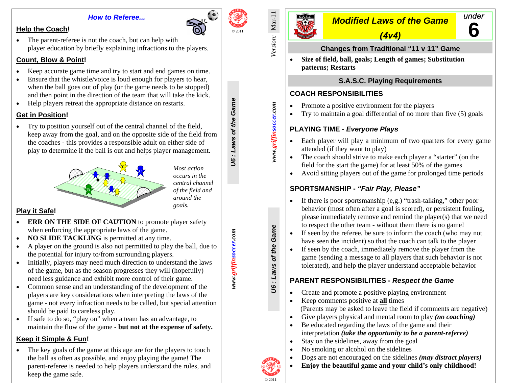### *How to Referee...*

# **Help the Coach!**

• The parent-referee is not the coach, but can help with player education by briefly explaining infractions to the players.

# **Count, Blow & Point!**

- •Keep accurate game time and try to start and end games on time.
- • Ensure that the whistle/voice is loud enough for players to hear, when the ball goes out of play (or the game needs to be stopped) and then point in the direction of the team that will take the kick.
- •Help players retreat the appropriate distance on restarts.

# **Get in Position!**

• Try to position yourself out of the central channel of the field, keep away from the goal, and on the opposite side of the field from the coaches - this provides a responsible adult on either side of play to determine if the ball is out and helps player management.



**<sup>C</sup>***Most action occurs in the central channel of the field and around the goals.* 

*www.griffinsoccer.com U6 : Laws of the Game* 

www.griffinsoccer.com

**J6** : Laws of the Game

# **Play it Safe!**

- $\bullet$ **ERR ON THE SIDE OF CAUTION** to promote player safety when enforcing the appropriate laws of the game.
- •**NO SLIDE TACKLING** is permitted at any time.
- • A player on the ground is also not permitted to play the ball, due to the potential for injury to/from surrounding players.
- • Initially, players may need much direction to understand the laws of the game, but as the season progresses they will (hopefully) need less guidance and exhibit more control of their game.
- • Common sense and an understanding of the development of the players are key considerations when interpreting the laws of the game - not every infraction needs to be called, but special attention should be paid to careless play.
- • If safe to do so, "play on" when a team has an advantage, to maintain the flow of the game - **but not at the expense of safety.**

# **Keep it Simple & Fun!**

• The key goals of the game at this age are for the players to touch the ball as often as possible, and enjoy playing the game! The parent-referee is needed to help players understand the rules, and keep the game safe.



# *Modified Laws of the Game*

**6** 

under

*(4v4)* 

# **Changes from Traditional "11 v 11" Game**

 **Size of field, ball, goals; Length of games; Substitution** •**patterns; Restarts**

# **S.A.S.C. Playing Requirements**

# **COACH RESPONSIBILITIES**

- •Promote a positive environment for the players
- •Try to maintain a goal differential of no more than five (5) goals

# **PLAYING TIME -** *Everyone Plays*

- • Each player will play a minimum of two quarters for every game attended (if they want to play)
- The coach should strive to make each player a "starter" (on the field for the start the game) for at least 50% of the games
- •Avoid sitting players out of the game for prolonged time periods

# **SPORTSMANSHIP -** *"Fair Play, Please"*

- • If there is poor sportsmanship (e,g.) "trash-talking," other poor behavior (most often after a goal is scored), or persistent fouling, please immediately remove and remind the player(s) that we need to respect the other team - without them there is no game!
- If seen by the referee, be sure to inform the coach (who may not have seen the incident) so that the coach can talk to the player
- • If seen by the coach, immediately remove the player from the game (sending a message to all players that such behavior is not tolerated), and help the player understand acceptable behavior

# **PARENT RESPONSIBILITIES -** *Respect the Game*

- •Create and promote a positive playing environment
- $\bullet$  Keep comments positive at **all** times (Parents may be asked to leave the field if comments are negative)
- •Give players physical and mental room to play *(no coaching)*
- • Be educated regarding the laws of the game and their interpretation *(take the opportunity to be a parent-referee)*
- •Stay on the sidelines, away from the goal
- •No smoking or alcohol on the sidelines
- •Dogs are not encouraged on the sidelines *(may distract players)*
- •**Enjoy the beautiful game and your child's only childhood!**



**J6: Laws of the Game** *U6 : Laws of the Game* 

*www.griffinsoccer.com*

www.griffinsoccer.com

*Version:* Mar-11

Version: Mar-11